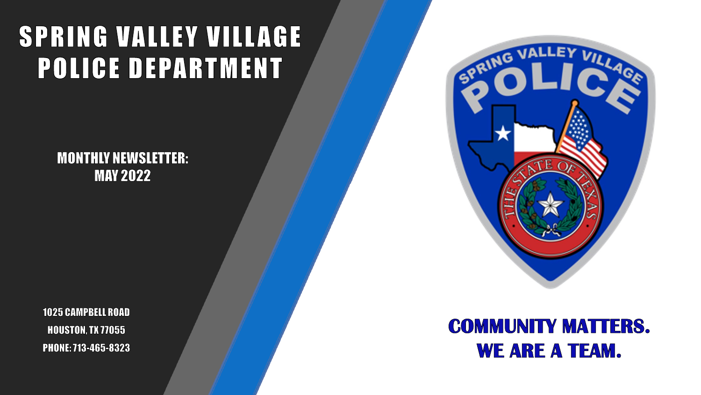# SPRING VALLEY VILLAGE **POLICE DEPARTMENT**

**MONTHLY NEWSLETTER: MAY 2022** 

**1025 CAMPBELL ROAD HOUSTON, TX 77055** PHONE: 713-465-8323



# **COMMUNITY MATTERS. WE ARE A TEAM.**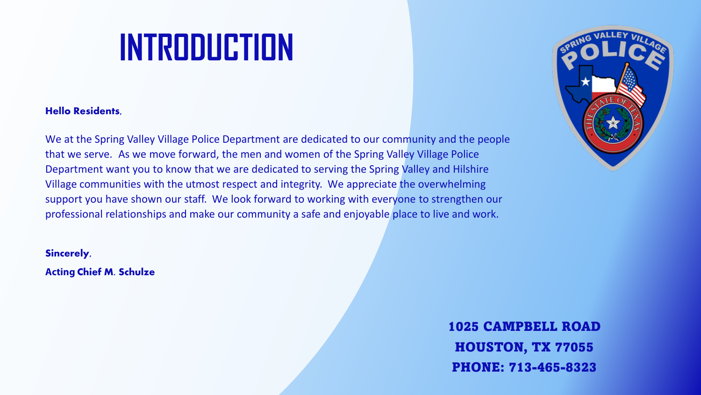# **INTRODUCTION**

#### **Hello Residents,**

We at the Spring Valley Village Police Department are dedicated to our community and the people that we serve. As we move forward, the men and women of the Spring Valley Village Police Department want you to know that we are dedicated to serving the Spring Valley and Hilshire Village communities with the utmost respect and integrity. We appreciate the overwhelming support you have shown our staff. We look forward to working with everyone to strengthen our professional relationships and make our community a safe and enjoyable place to live and work.

#### **Sincerely,**

**Acting Chief M. Schulze**

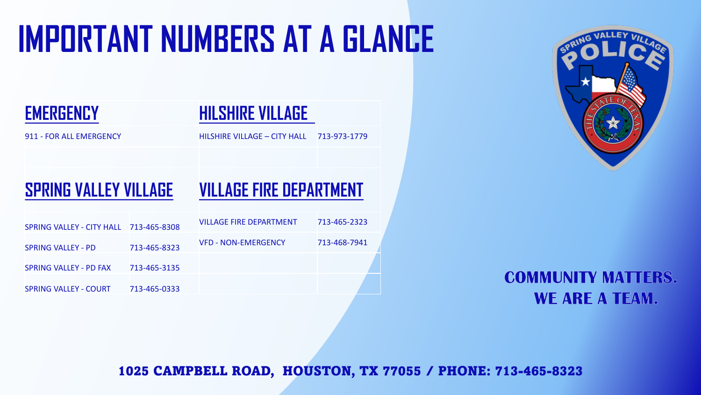# **IMPORTANT NUMBERS AT A GLANCE**



### **EMERGENCY HILSHIRE VILLAGE**

911 - FOR ALL EMERGENCY HILSHIRE VILLAGE – CITY HALL 713-973-1779

## **SPRING VALLEY VILLAGE VILLAGE FIRE DEPARTMENT**

| SPRING VALLEY - CITY HALL 713-465-8308 |              | VILLAGE FIRE DEPARTMENT    | 713-465-2323 |
|----------------------------------------|--------------|----------------------------|--------------|
| <b>SPRING VALLEY - PD</b>              | 713-465-8323 | <b>VFD - NON-EMERGENCY</b> | 713-468-7941 |
| SPRING VALLEY - PD FAX                 | 713-465-3135 |                            |              |
| <b>SPRING VALLEY - COURT</b>           | 713-465-0333 |                            |              |



### **COMMUNITY MATTERS. WE ARE A TEAM.**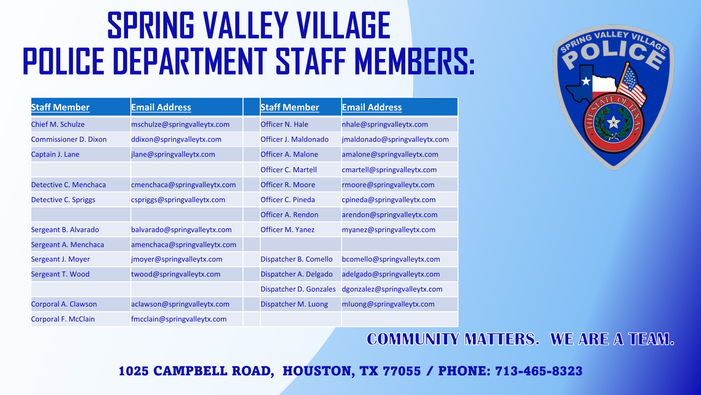# **SPRING VALLEY VILLAGE POLICE DEPARTMENT STAFF MEMBERS:**

| <b>Staff Member</b>          | <b>Email Address</b>         | <b>Staff Member</b>     | <b>Email Address</b>          |
|------------------------------|------------------------------|-------------------------|-------------------------------|
| <b>Chief M. Schulze</b>      | mschulze@springvalleytx.com  | <b>Officer N. Hale</b>  | nhale@springvalleytx.com      |
| <b>Commissioner D. Dixon</b> | ddixon@springvalleytx.com    | Officer J. Maldonado    | jmaldonado@springvalleytx.com |
| Captain J. Lane              | jlane@springvalleytx.com     | Officer A. Malone       | amalone@springvalleytx.com    |
|                              |                              | Officer C. Martell      | cmartell@springvalleytx.com   |
| Detective C. Menchaca        | cmenchaca@springvalleytx.com | <b>Officer R. Moore</b> | rmoore@springvalleytx.com     |
| Detective C. Spriggs         | cspriggs@springvalleytx.com  | Officer C. Pineda       | cpineda@springvalleytx.com    |
|                              |                              | Officer A. Rendon       | arendon@springvalleytx.com    |
| Sergeant B. Alvarado         | balvarado@springvalleytx.com | <b>Officer M. Yanez</b> | myanez@springvalleytx.com     |
| Sergeant A. Menchaca         | amenchaca@springvalleytx.com |                         |                               |
| Sergeant J. Moyer            | jmoyer@springvalleytx.com    | Dispatcher B. Comello   | bcomello@springvalleytx.com   |
| Sergeant T. Wood             | twood@springvalleytx.com     | Dispatcher A. Delgado   | adelgado@springvalleytx.com   |
|                              |                              | Dispatcher D. Gonzales  | dgonzalez@springvalleytx.com  |
| Corporal A. Clawson          | aclawson@springvalleytx.com  | Dispatcher M. Luong     | mluong@springvalleytx.com     |
| <b>Corporal F. McClain</b>   | fmcclain@springvalleytx.com  |                         |                               |



### **COMMUNITY MATTERS. WE ARE A TEAM.**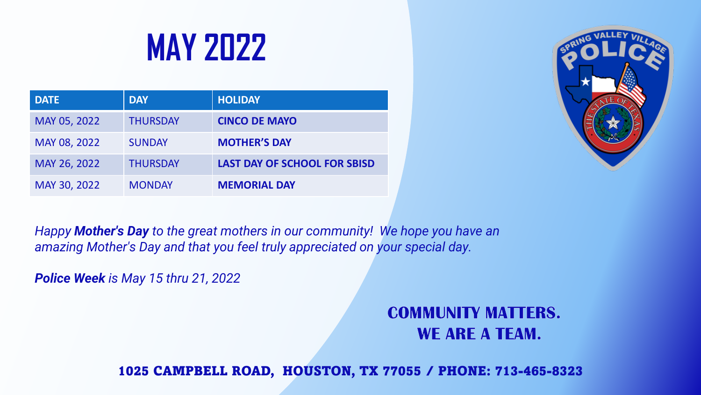# **MAY 2022**

| <b>DATE</b>  | <b>DAY</b>      | <b>HOLIDAY</b>                      |
|--------------|-----------------|-------------------------------------|
| MAY 05, 2022 | <b>THURSDAY</b> | <b>CINCO DE MAYO</b>                |
| MAY 08, 2022 | <b>SUNDAY</b>   | <b>MOTHER'S DAY</b>                 |
| MAY 26, 2022 | <b>THURSDAY</b> | <b>LAST DAY OF SCHOOL FOR SBISD</b> |
| MAY 30, 2022 | <b>MONDAY</b>   | <b>MEMORIAL DAY</b>                 |



*Happy Mother's Day to the great mothers in our community! We hope you have an amazing Mother's Day and that you feel truly appreciated on your special day.*

*Police Week is May 15 thru 21, 2022* 

### **COMMUNITY MATTERS.** WE ARE A TEAM.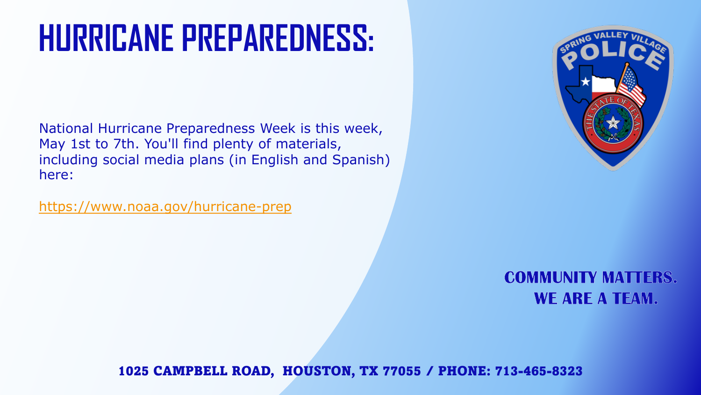# **HURRICANE PREPAREDNESS:**

National Hurricane Preparedness Week is this week, May 1st to 7th. You'll find plenty of materials, including social media plans (in English and Spanish) here:

<https://www.noaa.gov/hurricane-prep>



### **COMMUNITY MATTERS. WE ARE A TEAM.**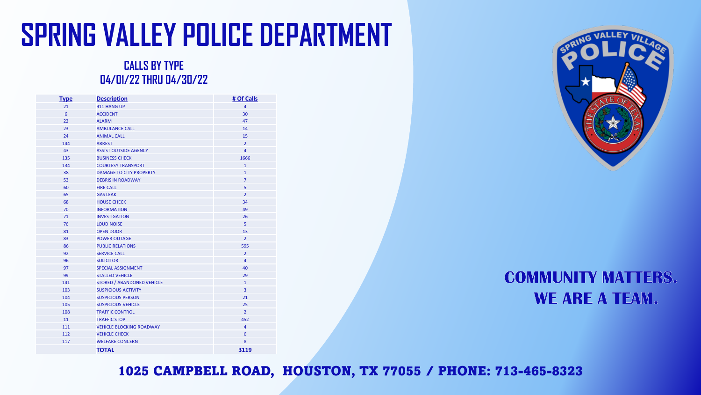# **SPRING VALLEY POLICE DEPARTMENT**

#### **CALLS BY TYPE 04/01/22 THRU 04/30/22**

| <b>Type</b> | <b>Description</b>                | # Of Calls     |
|-------------|-----------------------------------|----------------|
| 21          | 911 HANG UP                       | $\overline{4}$ |
| 6           | <b>ACCIDENT</b>                   | 30             |
| 22          | <b>ALARM</b>                      | 47             |
| 23          | <b>AMBULANCE CALL</b>             | 14             |
| 24          | <b>ANIMAL CALL</b>                | 15             |
| 144         | <b>ARREST</b>                     | $\overline{2}$ |
| 43          | <b>ASSIST OUTSIDE AGENCY</b>      | 4              |
| 135         | <b>BUSINESS CHECK</b>             | 1666           |
| 134         | <b>COURTESY TRANSPORT</b>         | $\mathbf{1}$   |
| 38          | <b>DAMAGE TO CITY PROPERTY</b>    | $\mathbf{1}$   |
| 53          | <b>DEBRIS IN ROADWAY</b>          | $\overline{7}$ |
| 60          | <b>FIRE CALL</b>                  | 5              |
| 65          | <b>GAS LEAK</b>                   | $\overline{2}$ |
| 68          | <b>HOUSE CHECK</b>                | 34             |
| 70          | <b>INFORMATION</b>                | 49             |
| 71          | <b>INVESTIGATION</b>              | 26             |
| 76          | <b>LOUD NOISE</b>                 | 5              |
| 81          | <b>OPEN DOOR</b>                  | 13             |
| 83          | <b>POWER OUTAGE</b>               | $\overline{2}$ |
| 86          | <b>PUBLIC RELATIONS</b>           | 595            |
| 92          | <b>SERVICE CALL</b>               | $\overline{2}$ |
| 96          | <b>SOLICITOR</b>                  | $\overline{4}$ |
| 97          | <b>SPECIAL ASSIGNMENT</b>         | 40             |
| 99          | <b>STALLED VEHICLE</b>            | 29             |
| 141         | <b>STORED / ABANDONED VEHICLE</b> | $\mathbf{1}$   |
| 103         | <b>SUSPICIOUS ACTIVITY</b>        | 3              |
| 104         | <b>SUSPICIOUS PERSON</b>          | 21             |
| 105         | <b>SUSPICIOUS VEHICLE</b>         | 25             |
| 108         | <b>TRAFFIC CONTROL</b>            | $\overline{2}$ |
| 11          | <b>TRAFFIC STOP</b>               | 452            |
| 111         | <b>VEHICLE BLOCKING ROADWAY</b>   | 4              |
| 112         | <b>VEHICLE CHECK</b>              | 6              |
| 117         | <b>WELFARE CONCERN</b>            | 8              |
|             | <b>TOTAL</b>                      | 3119           |



### **COMMUNITY MATTERS. WE ARE A TEAM.**